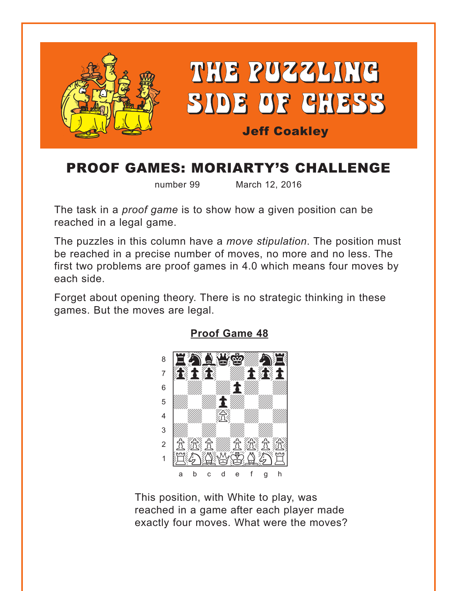<span id="page-0-0"></span>

# PROOF GAMES: MORIARTY'S CHALLENGE

number 99 March 12, 2016

The task in a *proof game* is to show how a given position can be reached in a legal game.

The puzzles in this column have a *move stipulation*. The position must be reached in a precise number of moves, no more and no less. The first two problems are proof games in 4.0 which means four moves by each side.

Forget about opening theory. There is no strategic thinking in these games. But the moves are legal.



**[Proof Game 48](#page-5-0)**

This position, with White to play, was reached in a game after each player made exactly four moves. What were the moves?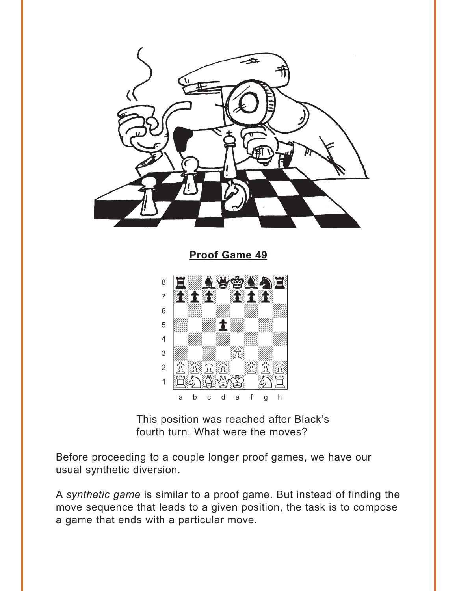<span id="page-1-0"></span>

**Proof Game 49** 



This position was reached after Black's fourth turn. What were the moves?

Before proceeding to a couple longer proof games, we have our usual synthetic diversion.

A synthetic game is similar to a proof game. But instead of finding the move sequence that leads to a given position, the task is to compose a game that ends with a particular move.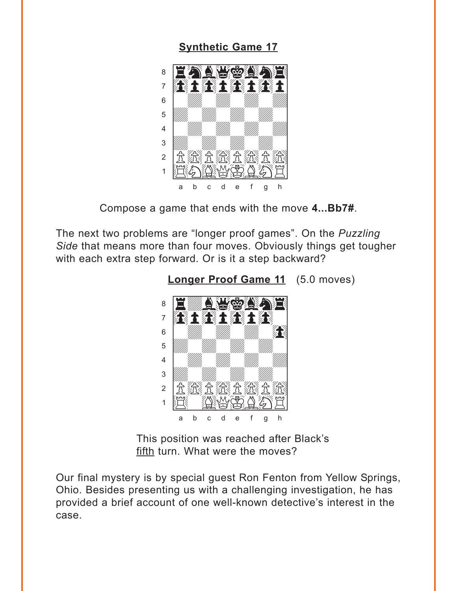#### **[Synthetic Game 17](#page-6-0)**

<span id="page-2-0"></span>

Compose a game that ends with the move **4...Bb7#**.

The next two problems are "longer proof games". On the *Puzzling Side* that means more than four moves. Obviously things get tougher with each extra step forward. Or is it a step backward?



**[Longer Proof Game 11](#page-6-0)** (5.0 moves) w\_\_\_\_\_\_\_\_w

This position was reached after Black's fifth turn. What were the moves?

Our final mystery is by special guest Ron Fenton from Yellow Springs, Ohio. Besides presenting us with a challenging investigation, he has provided a brief account of one well-known detective's interest in the case.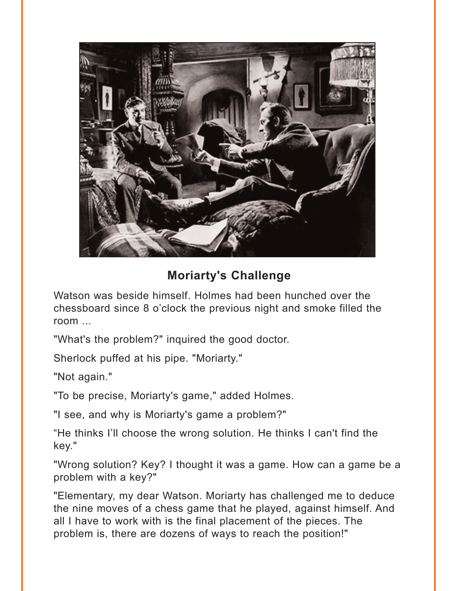

### **Moriarty's Challenge**

Watson was beside himself. Holmes had been hunched over the chessboard since 8 o'clock the previous night and smoke filled the room ...

"What's the problem?" inquired the good doctor.

Sherlock puffed at his pipe. "Moriarty."

"Not again."

"To be precise, Moriarty's game," added Holmes.

"I see, and why is Moriarty's game a problem?"

"He thinks I'll choose the wrong solution. He thinks I can't find the key."

"Wrong solution? Key? I thought it was a game. How can a game be a problem with a key?"

"Elementary, my dear Watson. Moriarty has challenged me to deduce the nine moves of a chess game that he played, against himself. And all I have to work with is the final placement of the pieces. The problem is, there are dozens of ways to reach the position!"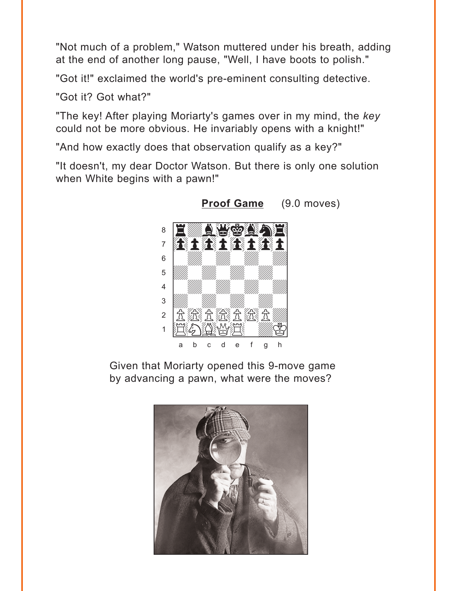<span id="page-4-0"></span>"Not much of a problem," Watson muttered under his breath, adding at the end of another long pause, "Well, I have boots to polish."

"Got it!" exclaimed the world's pre-eminent consulting detective.

"Got it? Got what?"

"The key! After playing Moriarty's games over in my mind, the key could not be more obvious. He invariably opens with a knight!"

"And how exactly does that observation qualify as a key?"

"It doesn't, my dear Doctor Watson. But there is only one solution when White begins with a pawn!"



 $(9.0$  moves) **Proof Game** 

Given that Moriarty opened this 9-move game by advancing a pawn, what were the moves?

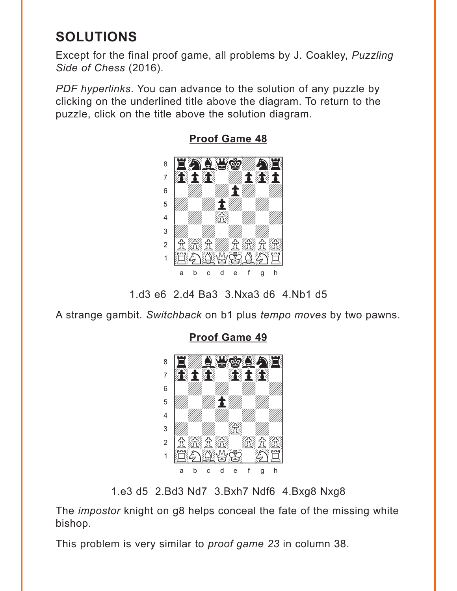## <span id="page-5-0"></span>**SOLUTIONS**

Except for the final proof game, all problems by J. Coakley, *Puzzling Side of Chess* (2016).

*PDF hyperlinks*. You can advance to the solution of any puzzle by clicking on the underlined title above the diagram. To return to the puzzle, click on the title above the solution diagram.



**[Proof Game 48](#page-0-0)**

1.d3 e6 2.d4 Ba3 3.Nxa3 d6 4.Nb1 d5

A strange gambit. *Switchback* on b1 plus *tempo moves* by two pawns.



**[Proof Game 49](#page-1-0)**

1.e3 d5 2.Bd3 Nd7 3.Bxh7 Ndf6 4.Bxg8 Nxg8

The *impostor* knight on g8 helps conceal the fate of the missing white bishop.

This problem is very similar to *proof game 23* in column 38.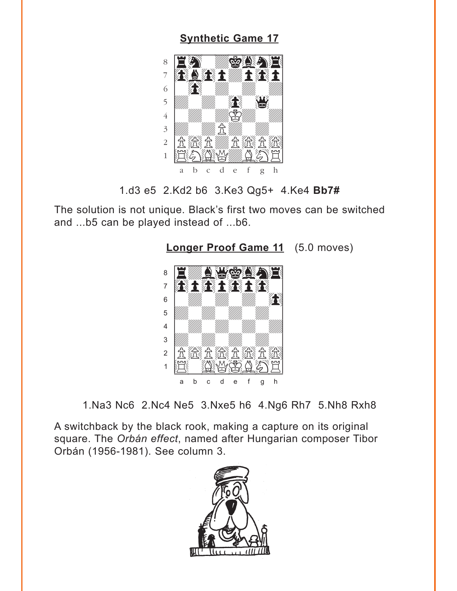### **[Synthetic Game 17](#page-2-0)**

<span id="page-6-0"></span>

1.d3 e5 2.Kd2 b6 3.Ke3 Qg5+ 4.Ke4 **Bb7#**

The solution is not unique. Black's first two moves can be switched and ...b5 can be played instead of ...b6.



**[Longer Proof Game 11](#page-2-0)** (5.0 moves)

1.Na3 Nc6 2.Nc4 Ne5 3.Nxe5 h6 4.Ng6 Rh7 5.Nh8 Rxh8

A switchback by the black rook, making a capture on its original square. The *Orbán effect*, named after Hungarian composer Tibor Orbán (1956-1981). See column 3.